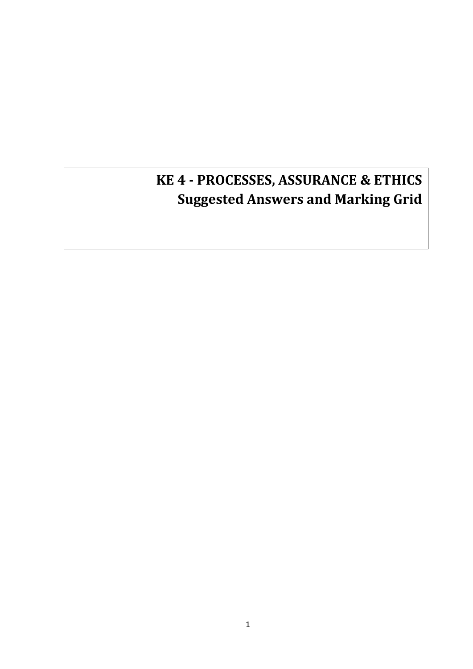# **KE 4 - PROCESSES, ASSURANCE & ETHICS Suggested Answers and Marking Grid**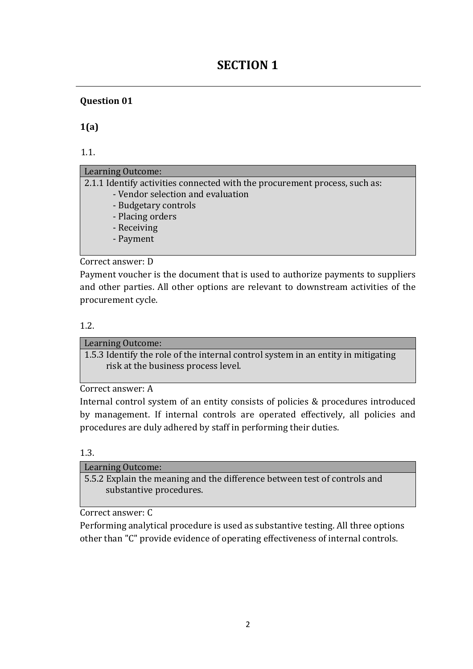## **SECTION 1**

## **Question 01**

**1(a)**

1.1.

### Learning Outcome:

2.1.1 Identify activities connected with the procurement process, such as:

- Vendor selection and evaluation
- Budgetary controls
- Placing orders
- Receiving
- Payment

## Correct answer: D

Payment voucher is the document that is used to authorize payments to suppliers and other parties. All other options are relevant to downstream activities of the procurement cycle.

### 1.2.

Learning Outcome: 1.5.3 Identify the role of the internal control system in an entity in mitigating risk at the business process level.

Correct answer: A

Internal control system of an entity consists of policies & procedures introduced by management. If internal controls are operated effectively, all policies and procedures are duly adhered by staff in performing their duties.

#### 1.3.

| Learning Outcome:                                                         |
|---------------------------------------------------------------------------|
| 5.5.2 Explain the meaning and the difference between test of controls and |
| substantive procedures.                                                   |
|                                                                           |

Correct answer: C

Performing analytical procedure is used as substantive testing. All three options other than "C" provide evidence of operating effectiveness of internal controls.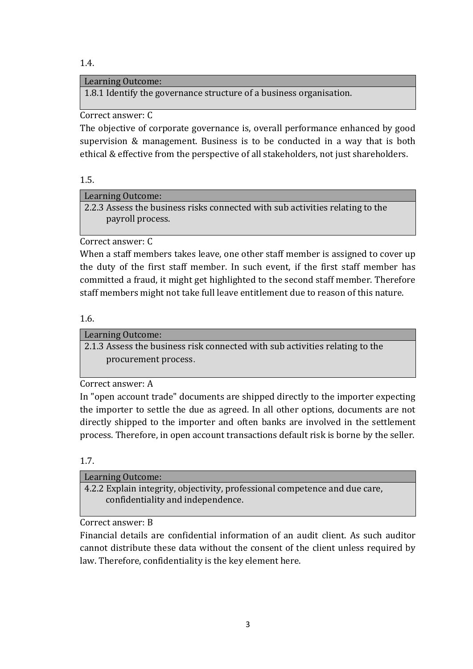1.4.

## Learning Outcome:

1.8.1 Identify the governance structure of a business organisation.

## Correct answer: C

The objective of corporate governance is, overall performance enhanced by good supervision & management. Business is to be conducted in a way that is both ethical & effective from the perspective of all stakeholders, not just shareholders.

## 1.5.

## Learning Outcome:

2.2.3 Assess the business risks connected with sub activities relating to the payroll process.

Correct answer: C

When a staff members takes leave, one other staff member is assigned to cover up the duty of the first staff member. In such event, if the first staff member has committed a fraud, it might get highlighted to the second staff member. Therefore staff members might not take full leave entitlement due to reason of this nature.

## 1.6.

Learning Outcome:

2.1.3 Assess the business risk connected with sub activities relating to the procurement process.

Correct answer: A

In "open account trade" documents are shipped directly to the importer expecting the importer to settle the due as agreed. In all other options, documents are not directly shipped to the importer and often banks are involved in the settlement process. Therefore, in open account transactions default risk is borne by the seller.

## 1.7.

| Learning Outcome:                                                                                                |
|------------------------------------------------------------------------------------------------------------------|
| 4.2.2 Explain integrity, objectivity, professional competence and due care,<br>confidentiality and independence. |
|                                                                                                                  |

## Correct answer: B

Financial details are confidential information of an audit client. As such auditor cannot distribute these data without the consent of the client unless required by law. Therefore, confidentiality is the key element here.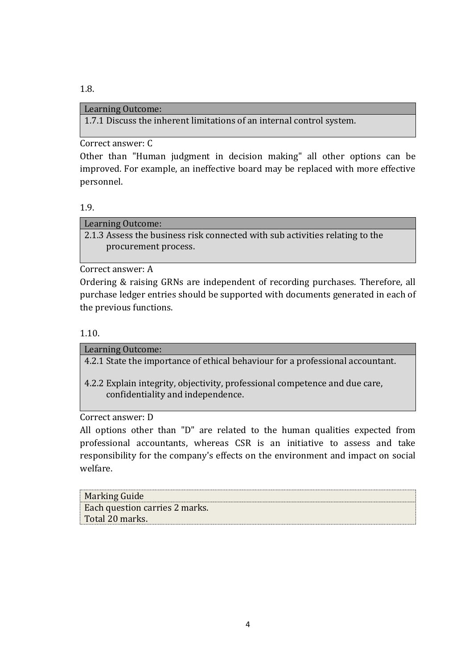## Learning Outcome:

1.7.1 Discuss the inherent limitations of an internal control system.

Correct answer: C

Other than "Human judgment in decision making" all other options can be improved. For example, an ineffective board may be replaced with more effective personnel.

## 1.9.

1.8.

Learning Outcome:

2.1.3 Assess the business risk connected with sub activities relating to the procurement process.

Correct answer: A

Ordering & raising GRNs are independent of recording purchases. Therefore, all purchase ledger entries should be supported with documents generated in each of the previous functions.

1.10.

Learning Outcome: 4.2.1 State the importance of ethical behaviour for a professional accountant.

4.2.2 Explain integrity, objectivity, professional competence and due care, confidentiality and independence.

Correct answer: D

All options other than "D" are related to the human qualities expected from professional accountants, whereas CSR is an initiative to assess and take responsibility for the company's effects on the environment and impact on social welfare.

| Marking Guide                  |  |
|--------------------------------|--|
| Each question carries 2 marks. |  |
| Total 20 marks.                |  |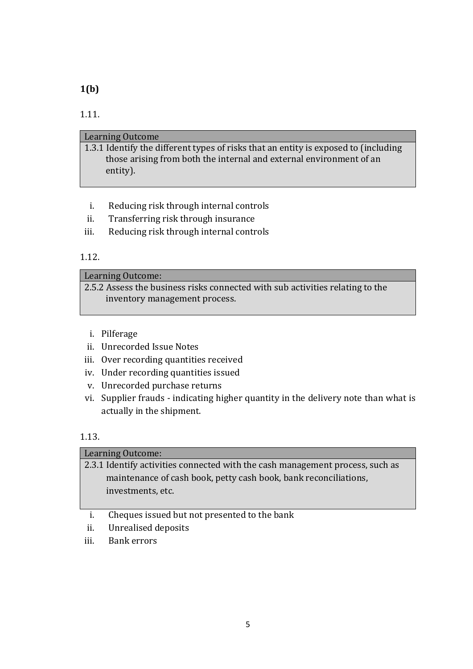## **1(b)**

## 1.11.

## Learning Outcome 1.3.1 Identify the different types of risks that an entity is exposed to (including those arising from both the internal and external environment of an entity).

- i. Reducing risk through internal controls
- ii. Transferring risk through insurance
- iii. Reducing risk through internal controls

## 1.12.

### Learning Outcome:

2.5.2 Assess the business risks connected with sub activities relating to the inventory management process.

- i. Pilferage
- ii. Unrecorded Issue Notes
- iii. Over recording quantities received
- iv. Under recording quantities issued
- v. Unrecorded purchase returns
- vi. Supplier frauds indicating higher quantity in the delivery note than what is actually in the shipment.

## 1.13.

| Learning Outcome:                                                             |
|-------------------------------------------------------------------------------|
| 2.3.1 Identify activities connected with the cash management process, such as |
| maintenance of cash book, petty cash book, bank reconciliations,              |
| investments, etc.                                                             |
|                                                                               |
| Cheques issued but not presented to the bank                                  |

- ii. Unrealised deposits
- iii. Bank errors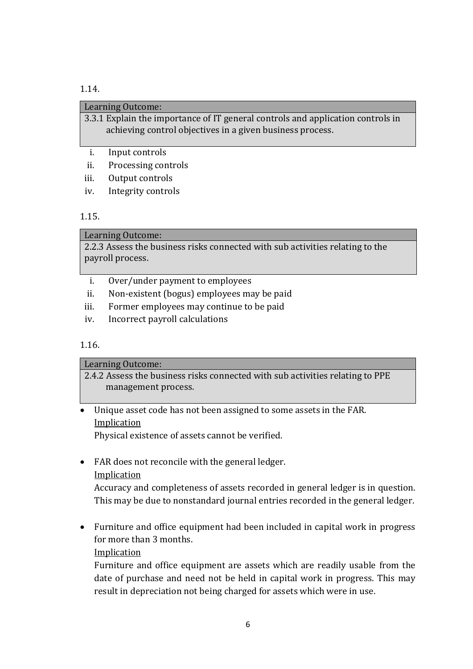#### 1.14.

| Learning Outcome:                                                                                                                                                                                                                                                                                |  |
|--------------------------------------------------------------------------------------------------------------------------------------------------------------------------------------------------------------------------------------------------------------------------------------------------|--|
| 3.3.1 Explain the importance of IT general controls and application controls in<br>achieving control objectives in a given business process.                                                                                                                                                     |  |
| Input controls                                                                                                                                                                                                                                                                                   |  |
| $\mathbf{r}$ and $\mathbf{r}$ and $\mathbf{r}$ and $\mathbf{r}$ and $\mathbf{r}$ and $\mathbf{r}$ and $\mathbf{r}$ and $\mathbf{r}$ and $\mathbf{r}$ and $\mathbf{r}$ and $\mathbf{r}$ and $\mathbf{r}$ and $\mathbf{r}$ and $\mathbf{r}$ and $\mathbf{r}$ and $\mathbf{r}$ and $\mathbf{r}$ and |  |

- ii. Processing controls
- iii. Output controls
- iv. Integrity controls

#### 1.15.

#### Learning Outcome:

2.2.3 Assess the business risks connected with sub activities relating to the payroll process.

- i. Over/under payment to employees
- ii. Non-existent (bogus) employees may be paid
- iii. Former employees may continue to be paid
- iv. Incorrect payroll calculations

#### 1.16.

## Learning Outcome: 2.4.2 Assess the business risks connected with sub activities relating to PPE management process.

### Unique asset code has not been assigned to some assets in the FAR. Implication

Physical existence of assets cannot be verified.

FAR does not reconcile with the general ledger.

## Implication

Accuracy and completeness of assets recorded in general ledger is in question. This may be due to nonstandard journal entries recorded in the general ledger.

 Furniture and office equipment had been included in capital work in progress for more than 3 months.

#### Implication

Furniture and office equipment are assets which are readily usable from the date of purchase and need not be held in capital work in progress. This may result in depreciation not being charged for assets which were in use.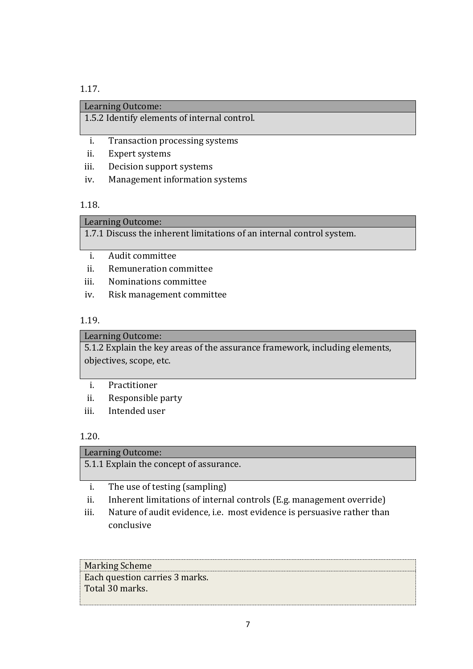#### 1.17.

### Learning Outcome:

1.5.2 Identify elements of internal control.

- i. Transaction processing systems
- ii. Expert systems
- iii. Decision support systems
- iv. Management information systems

#### 1.18.

#### Learning Outcome:

1.7.1 Discuss the inherent limitations of an internal control system.

- i. Audit committee
- ii. Remuneration committee
- iii. Nominations committee
- iv. Risk management committee

## 1.19.

#### Learning Outcome:

5.1.2 Explain the key areas of the assurance framework, including elements, objectives, scope, etc.

- i. Practitioner
- ii. Responsible party
- iii. Intended user

#### 1.20.

| Learning Outcome:                       |
|-----------------------------------------|
| 5.1.1 Explain the concept of assurance. |
| The use of testing (sampling)           |

- ii. Inherent limitations of internal controls (E.g. management override)
- iii. Nature of audit evidence, i.e. most evidence is persuasive rather than conclusive

Marking Scheme Each question carries 3 marks. Total 30 marks.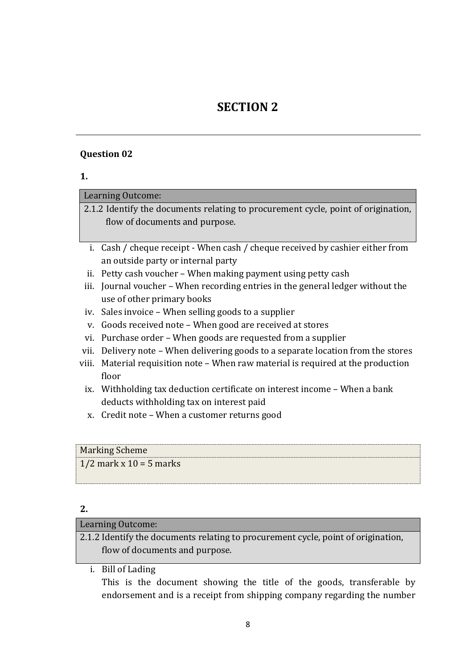## **SECTION 2**

#### **Question 02**

| I<br>۰.<br>× |  |
|--------------|--|
|              |  |

Learning Outcome:

2.1.2 Identify the documents relating to procurement cycle, point of origination, flow of documents and purpose.

- i. Cash / cheque receipt When cash / cheque received by cashier either from an outside party or internal party
- ii. Petty cash voucher When making payment using petty cash
- iii. Journal voucher When recording entries in the general ledger without the use of other primary books
- iv. Sales invoice When selling goods to a supplier
- v. Goods received note When good are received at stores
- vi. Purchase order When goods are requested from a supplier
- vii. Delivery note When delivering goods to a separate location from the stores
- viii. Material requisition note When raw material is required at the production floor
	- ix. Withholding tax deduction certificate on interest income When a bank deducts withholding tax on interest paid
	- x. Credit note When a customer returns good

## Marking Scheme

 $1/2$  mark x  $10 = 5$  marks

#### **2.**

## Learning Outcome:

2.1.2 Identify the documents relating to procurement cycle, point of origination, flow of documents and purpose.

i. Bill of Lading

This is the document showing the title of the goods, transferable by endorsement and is a receipt from shipping company regarding the number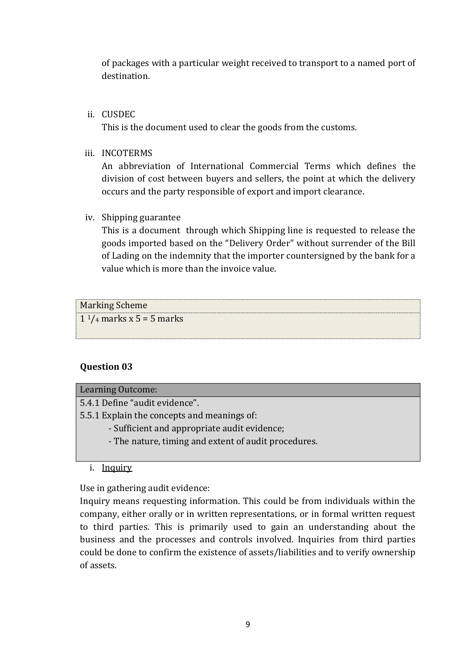of packages with a particular weight received to transport to a named port of destination.

## ii. CUSDEC

This is the document used to clear the goods from the customs.

iii. INCOTERMS

An abbreviation of International Commercial Terms which defines the division of cost between buyers and sellers, the point at which the delivery occurs and the party responsible of export and import clearance.

### iv. Shipping guarantee

This is a document through which Shipping line is requested to release the goods imported based on the "Delivery Order" without surrender of the Bill of Lading on the indemnity that the importer countersigned by the bank for a value which is more than the invoice value.

## Marking Scheme  $1<sup>1</sup>/4$  marks x 5 = 5 marks

## **Question 03**

| <b>Learning Outcome:</b>                             |
|------------------------------------------------------|
| 5.4.1 Define "audit evidence".                       |
| 5.5.1 Explain the concepts and meanings of:          |
| - Sufficient and appropriate audit evidence;         |
| - The nature, timing and extent of audit procedures. |

#### i. Inquiry

Use in gathering audit evidence:

Inquiry means requesting information. This could be from individuals within the company, either orally or in written representations, or in formal written request to third parties. This is primarily used to gain an understanding about the business and the processes and controls involved. Inquiries from third parties could be done to confirm the existence of assets/liabilities and to verify ownership of assets.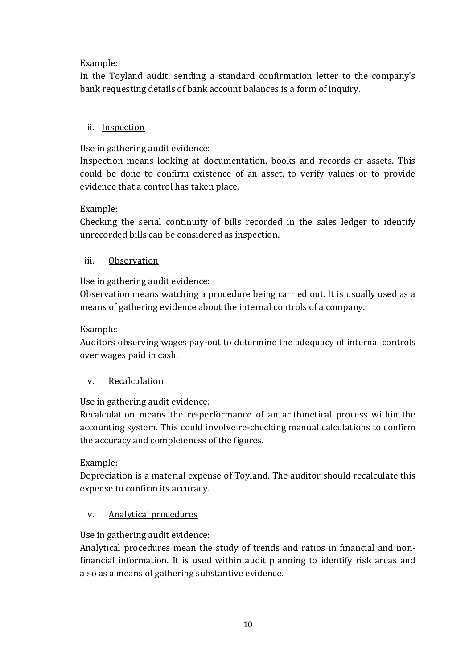## Example:

In the Toyland audit, sending a standard confirmation letter to the company's bank requesting details of bank account balances is a form of inquiry.

## ii. Inspection

Use in gathering audit evidence:

Inspection means looking at documentation, books and records or assets. This could be done to confirm existence of an asset, to verify values or to provide evidence that a control has taken place.

### Example:

Checking the serial continuity of bills recorded in the sales ledger to identify unrecorded bills can be considered as inspection.

### iii. Observation

Use in gathering audit evidence:

Observation means watching a procedure being carried out. It is usually used as a means of gathering evidence about the internal controls of a company.

### Example:

Auditors observing wages pay-out to determine the adequacy of internal controls over wages paid in cash.

## iv. Recalculation

Use in gathering audit evidence:

Recalculation means the re-performance of an arithmetical process within the accounting system. This could involve re-checking manual calculations to confirm the accuracy and completeness of the figures.

#### Example:

Depreciation is a material expense of Toyland. The auditor should recalculate this expense to confirm its accuracy.

#### v. Analytical procedures

Use in gathering audit evidence:

Analytical procedures mean the study of trends and ratios in financial and nonfinancial information. It is used within audit planning to identify risk areas and also as a means of gathering substantive evidence.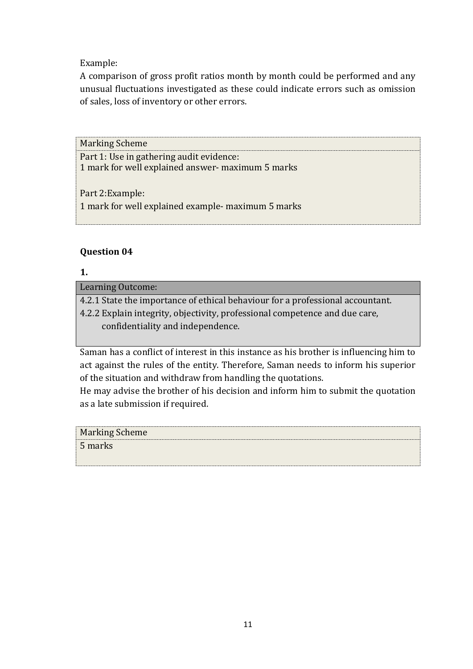## Example:

A comparison of gross profit ratios month by month could be performed and any unusual fluctuations investigated as these could indicate errors such as omission of sales, loss of inventory or other errors.

Marking Scheme Part 1: Use in gathering audit evidence: 1 mark for well explained answer- maximum 5 marks Part 2:Example: 1 mark for well explained example- maximum 5 marks

## **Question 04**

## **1.**

Learning Outcome:

4.2.1 State the importance of ethical behaviour for a professional accountant.

4.2.2 Explain integrity, objectivity, professional competence and due care, confidentiality and independence.

Saman has a conflict of interest in this instance as his brother is influencing him to act against the rules of the entity. Therefore, Saman needs to inform his superior of the situation and withdraw from handling the quotations.

He may advise the brother of his decision and inform him to submit the quotation as a late submission if required.

| <b>Marking Scheme</b> |  |
|-----------------------|--|
| 5 marks               |  |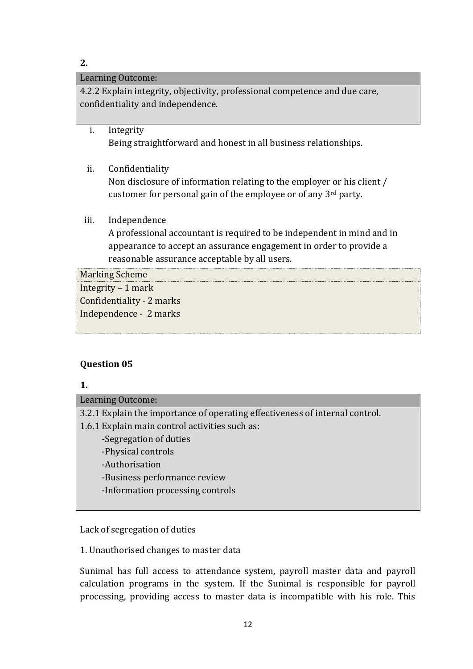### **2.**

## Learning Outcome:

4.2.2 Explain integrity, objectivity, professional competence and due care, confidentiality and independence.

- i. Integrity Being straightforward and honest in all business relationships.
- ii. Confidentiality

Non disclosure of information relating to the employer or his client / customer for personal gain of the employee or of any 3rd party.

iii. Independence

A professional accountant is required to be independent in mind and in appearance to accept an assurance engagement in order to provide a reasonable assurance acceptable by all users.

| <b>Marking Scheme</b>     |  |
|---------------------------|--|
| Integrity $-1$ mark       |  |
| Confidentiality - 2 marks |  |
| Independence - 2 marks    |  |
|                           |  |

## **Question 05**

## **1.**

Learning Outcome: 3.2.1 Explain the importance of operating effectiveness of internal control. 1.6.1 Explain main control activities such as: -Segregation of duties -Physical controls -Authorisation -Business performance review -Information processing controls

Lack of segregation of duties

1. Unauthorised changes to master data

Sunimal has full access to attendance system, payroll master data and payroll calculation programs in the system. If the Sunimal is responsible for payroll processing, providing access to master data is incompatible with his role. This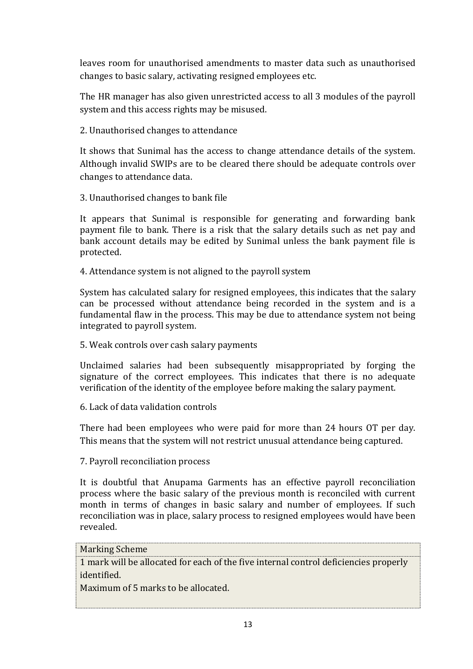leaves room for unauthorised amendments to master data such as unauthorised changes to basic salary, activating resigned employees etc.

The HR manager has also given unrestricted access to all 3 modules of the payroll system and this access rights may be misused.

2. Unauthorised changes to attendance

It shows that Sunimal has the access to change attendance details of the system. Although invalid SWIPs are to be cleared there should be adequate controls over changes to attendance data.

3. Unauthorised changes to bank file

It appears that Sunimal is responsible for generating and forwarding bank payment file to bank. There is a risk that the salary details such as net pay and bank account details may be edited by Sunimal unless the bank payment file is protected.

4. Attendance system is not aligned to the payroll system

System has calculated salary for resigned employees, this indicates that the salary can be processed without attendance being recorded in the system and is a fundamental flaw in the process. This may be due to attendance system not being integrated to payroll system.

5. Weak controls over cash salary payments

Unclaimed salaries had been subsequently misappropriated by forging the signature of the correct employees. This indicates that there is no adequate verification of the identity of the employee before making the salary payment.

6. Lack of data validation controls

There had been employees who were paid for more than 24 hours OT per day. This means that the system will not restrict unusual attendance being captured.

7. Payroll reconciliation process

It is doubtful that Anupama Garments has an effective payroll reconciliation process where the basic salary of the previous month is reconciled with current month in terms of changes in basic salary and number of employees. If such reconciliation was in place, salary process to resigned employees would have been revealed.

#### Marking Scheme

1 mark will be allocated for each of the five internal control deficiencies properly identified.

Maximum of 5 marks to be allocated.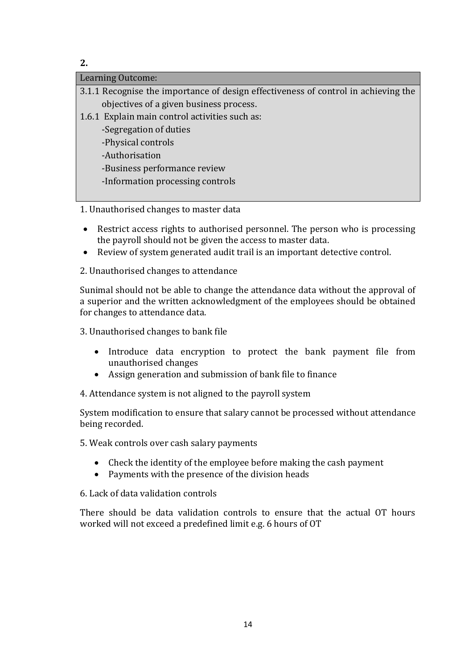**2.**

| Learning Outcome:                                                                  |
|------------------------------------------------------------------------------------|
| 3.1.1 Recognise the importance of design effectiveness of control in achieving the |
| objectives of a given business process.                                            |
| 1.6.1 Explain main control activities such as:                                     |
| -Segregation of duties                                                             |
| -Physical controls                                                                 |
| -Authorisation                                                                     |
| -Business performance review                                                       |
| -Information processing controls                                                   |
|                                                                                    |

1. Unauthorised changes to master data

- Restrict access rights to authorised personnel. The person who is processing the payroll should not be given the access to master data.
- Review of system generated audit trail is an important detective control.
- 2. Unauthorised changes to attendance

Sunimal should not be able to change the attendance data without the approval of a superior and the written acknowledgment of the employees should be obtained for changes to attendance data.

3. Unauthorised changes to bank file

- Introduce data encryption to protect the bank payment file from unauthorised changes
- Assign generation and submission of bank file to finance
- 4. Attendance system is not aligned to the payroll system

System modification to ensure that salary cannot be processed without attendance being recorded.

- 5. Weak controls over cash salary payments
	- Check the identity of the employee before making the cash payment
	- Payments with the presence of the division heads

6. Lack of data validation controls

There should be data validation controls to ensure that the actual OT hours worked will not exceed a predefined limit e.g. 6 hours of OT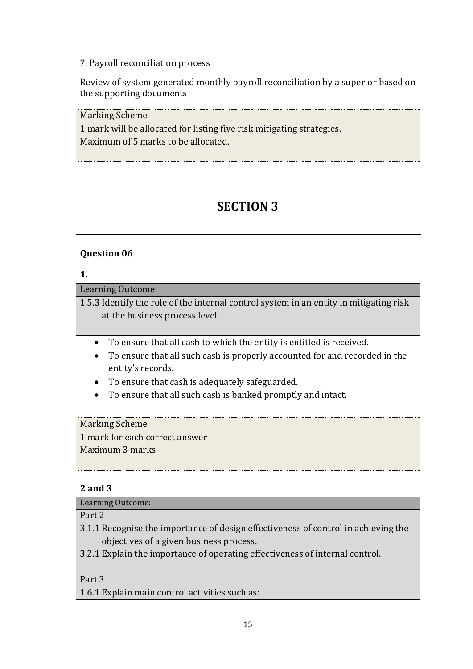### 7. Payroll reconciliation process

Review of system generated monthly payroll reconciliation by a superior based on the supporting documents

Marking Scheme

1 mark will be allocated for listing five risk mitigating strategies. Maximum of 5 marks to be allocated.

## **SECTION 3**

## **Question 06**

### **1.**

Learning Outcome:

1.5.3 Identify the role of the internal control system in an entity in mitigating risk at the business process level.

- To ensure that all cash to which the entity is entitled is received.
- To ensure that all such cash is properly accounted for and recorded in the entity's records.
- To ensure that cash is adequately safeguarded.
- To ensure that all such cash is banked promptly and intact.

#### Marking Scheme

1 mark for each correct answer Maximum 3 marks

#### **2 and 3**

Learning Outcome:

Part 2

- 3.1.1 Recognise the importance of design effectiveness of control in achieving the objectives of a given business process.
- 3.2.1 Explain the importance of operating effectiveness of internal control.

Part 3

1.6.1 Explain main control activities such as: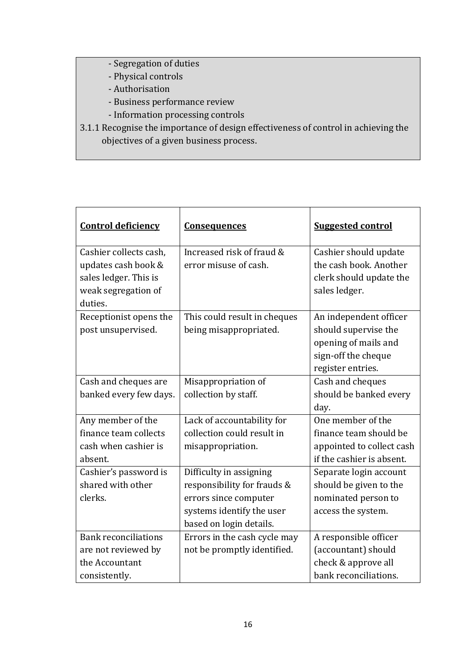- Segregation of duties
- Physical controls
- Authorisation
- Business performance review
- Information processing controls
- 3.1.1 Recognise the importance of design effectiveness of control in achieving the objectives of a given business process.

| <b>Control deficiency</b>   | <b>Consequences</b>          | <b>Suggested control</b>  |
|-----------------------------|------------------------------|---------------------------|
| Cashier collects cash,      | Increased risk of fraud &    | Cashier should update     |
| updates cash book &         | error misuse of cash.        | the cash book. Another    |
| sales ledger. This is       |                              | clerk should update the   |
| weak segregation of         |                              | sales ledger.             |
| duties.                     |                              |                           |
| Receptionist opens the      | This could result in cheques | An independent officer    |
| post unsupervised.          | being misappropriated.       | should supervise the      |
|                             |                              | opening of mails and      |
|                             |                              | sign-off the cheque       |
|                             |                              | register entries.         |
| Cash and cheques are        | Misappropriation of          | Cash and cheques          |
| banked every few days.      | collection by staff.         | should be banked every    |
|                             |                              | day.                      |
| Any member of the           | Lack of accountability for   | One member of the         |
| finance team collects       | collection could result in   | finance team should be    |
| cash when cashier is        | misappropriation.            | appointed to collect cash |
| absent.                     |                              | if the cashier is absent. |
| Cashier's password is       | Difficulty in assigning      | Separate login account    |
| shared with other           | responsibility for frauds &  | should be given to the    |
| clerks.                     | errors since computer        | nominated person to       |
|                             | systems identify the user    | access the system.        |
|                             | based on login details.      |                           |
| <b>Bank reconciliations</b> | Errors in the cash cycle may | A responsible officer     |
| are not reviewed by         | not be promptly identified.  | (accountant) should       |
| the Accountant              |                              | check & approve all       |
| consistently.               |                              | bank reconciliations.     |